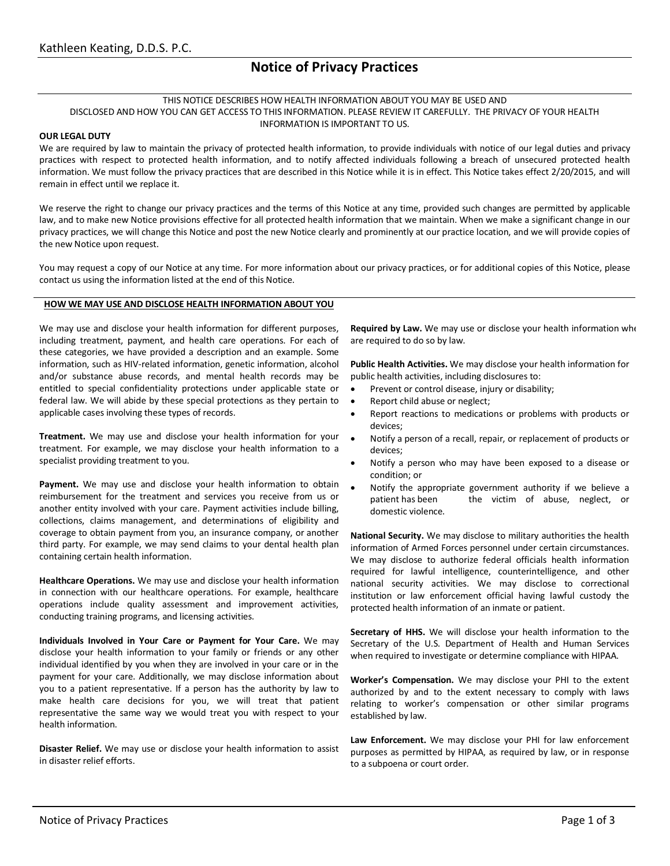# **Notice of Privacy Practices**

### THIS NOTICE DESCRIBES HOW HEALTH INFORMATION ABOUT YOU MAY BE USED AND DISCLOSED AND HOW YOU CAN GET ACCESS TO THIS INFORMATION. PLEASE REVIEW IT CAREFULLY. THE PRIVACY OF YOUR HEALTH INFORMATION IS IMPORTANT TO US.

### **OUR LEGAL DUTY**

We are required by law to maintain the privacy of protected health information, to provide individuals with notice of our legal duties and privacy practices with respect to protected health information, and to notify affected individuals following a breach of unsecured protected health information. We must follow the privacy practices that are described in this Notice while it is in effect. This Notice takes effect 2/20/2015, and will remain in effect until we replace it.

We reserve the right to change our privacy practices and the terms of this Notice at any time, provided such changes are permitted by applicable law, and to make new Notice provisions effective for all protected health information that we maintain. When we make a significant change in our privacy practices, we will change this Notice and post the new Notice clearly and prominently at our practice location, and we will provide copies of the new Notice upon request.

You may request a copy of our Notice at any time. For more information about our privacy practices, or for additional copies of this Notice, please contact us using the information listed at the end of this Notice.

### **HOW WE MAY USE AND DISCLOSE HEALTH INFORMATION ABOUT YOU**

We may use and disclose your health information for different purposes, including treatment, payment, and health care operations. For each of these categories, we have provided a description and an example. Some information, such as HIV-related information, genetic information, alcohol and/or substance abuse records, and mental health records may be entitled to special confidentiality protections under applicable state or federal law. We will abide by these special protections as they pertain to applicable cases involving these types of records.

**Treatment.** We may use and disclose your health information for your treatment. For example, we may disclose your health information to a specialist providing treatment to you.

Payment. We may use and disclose your health information to obtain reimbursement for the treatment and services you receive from us or another entity involved with your care. Payment activities include billing, collections, claims management, and determinations of eligibility and coverage to obtain payment from you, an insurance company, or another third party. For example, we may send claims to your dental health plan containing certain health information.

**Healthcare Operations.** We may use and disclose your health information in connection with our healthcare operations. For example, healthcare operations include quality assessment and improvement activities, conducting training programs, and licensing activities.

**Individuals Involved in Your Care or Payment for Your Care.** We may disclose your health information to your family or friends or any other individual identified by you when they are involved in your care or in the payment for your care. Additionally, we may disclose information about you to a patient representative. If a person has the authority by law to make health care decisions for you, we will treat that patient representative the same way we would treat you with respect to your health information.

**Disaster Relief.** We may use or disclose your health information to assist in disaster relief efforts.

**Required by Law.** We may use or disclose your health information when are required to do so by law.

**Public Health Activities.** We may disclose your health information for public health activities, including disclosures to:

- Prevent or control disease, injury or disability;
- Report child abuse or neglect;
- Report reactions to medications or problems with products or devices;
- Notify a person of a recall, repair, or replacement of products or devices;
- Notify a person who may have been exposed to a disease or condition; or
- Notify the appropriate government authority if we believe a patient has been the victim of abuse, neglect, or domestic violence.

**National Security.** We may disclose to military authorities the health information of Armed Forces personnel under certain circumstances. We may disclose to authorize federal officials health information required for lawful intelligence, counterintelligence, and other national security activities. We may disclose to correctional institution or law enforcement official having lawful custody the protected health information of an inmate or patient.

**Secretary of HHS.** We will disclose your health information to the Secretary of the U.S. Department of Health and Human Services when required to investigate or determine compliance with HIPAA.

**Worker's Compensation.** We may disclose your PHI to the extent authorized by and to the extent necessary to comply with laws relating to worker's compensation or other similar programs established by law.

**Law Enforcement.** We may disclose your PHI for law enforcement purposes as permitted by HIPAA, as required by law, or in response to a subpoena or court order.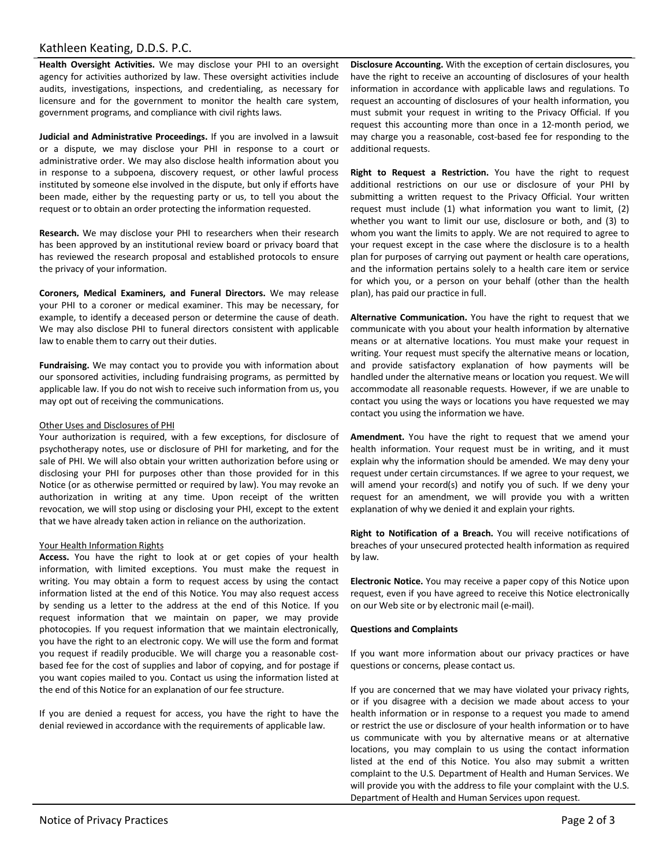### Kathleen Keating, D.D.S. P.C.

**Health Oversight Activities.** We may disclose your PHI to an oversight agency for activities authorized by law. These oversight activities include audits, investigations, inspections, and credentialing, as necessary for licensure and for the government to monitor the health care system, government programs, and compliance with civil rights laws.

**Judicial and Administrative Proceedings.** If you are involved in a lawsuit or a dispute, we may disclose your PHI in response to a court or administrative order. We may also disclose health information about you in response to a subpoena, discovery request, or other lawful process instituted by someone else involved in the dispute, but only if efforts have been made, either by the requesting party or us, to tell you about the request or to obtain an order protecting the information requested.

**Research.** We may disclose your PHI to researchers when their research has been approved by an institutional review board or privacy board that has reviewed the research proposal and established protocols to ensure the privacy of your information.

**Coroners, Medical Examiners, and Funeral Directors.** We may release your PHI to a coroner or medical examiner. This may be necessary, for example, to identify a deceased person or determine the cause of death. We may also disclose PHI to funeral directors consistent with applicable law to enable them to carry out their duties.

**Fundraising.** We may contact you to provide you with information about our sponsored activities, including fundraising programs, as permitted by applicable law. If you do not wish to receive such information from us, you may opt out of receiving the communications.

### Other Uses and Disclosures of PHI

Your authorization is required, with a few exceptions, for disclosure of psychotherapy notes, use or disclosure of PHI for marketing, and for the sale of PHI. We will also obtain your written authorization before using or disclosing your PHI for purposes other than those provided for in this Notice (or as otherwise permitted or required by law). You may revoke an authorization in writing at any time. Upon receipt of the written revocation, we will stop using or disclosing your PHI, except to the extent that we have already taken action in reliance on the authorization.

#### Your Health Information Rights

**Access.** You have the right to look at or get copies of your health information, with limited exceptions. You must make the request in writing. You may obtain a form to request access by using the contact information listed at the end of this Notice. You may also request access by sending us a letter to the address at the end of this Notice. If you request information that we maintain on paper, we may provide photocopies. If you request information that we maintain electronically, you have the right to an electronic copy. We will use the form and format you request if readily producible. We will charge you a reasonable costbased fee for the cost of supplies and labor of copying, and for postage if you want copies mailed to you. Contact us using the information listed at the end of this Notice for an explanation of our fee structure.

If you are denied a request for access, you have the right to have the denial reviewed in accordance with the requirements of applicable law.

**Disclosure Accounting.** With the exception of certain disclosures, you have the right to receive an accounting of disclosures of your health information in accordance with applicable laws and regulations. To request an accounting of disclosures of your health information, you must submit your request in writing to the Privacy Official. If you request this accounting more than once in a 12-month period, we may charge you a reasonable, cost-based fee for responding to the additional requests.

**Right to Request a Restriction.** You have the right to request additional restrictions on our use or disclosure of your PHI by submitting a written request to the Privacy Official. Your written request must include (1) what information you want to limit, (2) whether you want to limit our use, disclosure or both, and (3) to whom you want the limits to apply. We are not required to agree to your request except in the case where the disclosure is to a health plan for purposes of carrying out payment or health care operations, and the information pertains solely to a health care item or service for which you, or a person on your behalf (other than the health plan), has paid our practice in full.

**Alternative Communication.** You have the right to request that we communicate with you about your health information by alternative means or at alternative locations. You must make your request in writing. Your request must specify the alternative means or location, and provide satisfactory explanation of how payments will be handled under the alternative means or location you request. We will accommodate all reasonable requests. However, if we are unable to contact you using the ways or locations you have requested we may contact you using the information we have.

**Amendment.** You have the right to request that we amend your health information. Your request must be in writing, and it must explain why the information should be amended. We may deny your request under certain circumstances. If we agree to your request, we will amend your record(s) and notify you of such. If we deny your request for an amendment, we will provide you with a written explanation of why we denied it and explain your rights.

**Right to Notification of a Breach.** You will receive notifications of breaches of your unsecured protected health information as required by law.

**Electronic Notice.** You may receive a paper copy of this Notice upon request, even if you have agreed to receive this Notice electronically on our Web site or by electronic mail (e-mail).

### **Questions and Complaints**

If you want more information about our privacy practices or have questions or concerns, please contact us.

If you are concerned that we may have violated your privacy rights, or if you disagree with a decision we made about access to your health information or in response to a request you made to amend or restrict the use or disclosure of your health information or to have us communicate with you by alternative means or at alternative locations, you may complain to us using the contact information listed at the end of this Notice. You also may submit a written complaint to the U.S. Department of Health and Human Services. We will provide you with the address to file your complaint with the U.S. Department of Health and Human Services upon request.